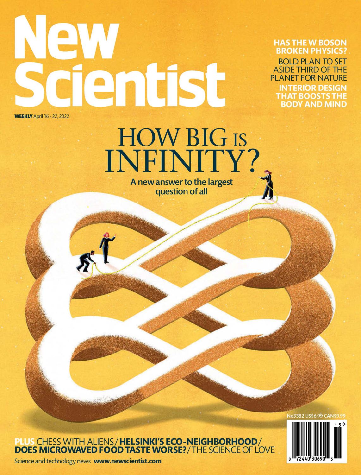# QV dentist **WEEKLY** April 16 - 22, 2022

**HAS THE W BOSON BROKEN PHYSICS? BOLD PLAN TO SET ASIDE THIRD OF THE** 

**PLANET FOR NATURE INTERIOR DESIGN** THAT BOOSTS THE BODY AND MIND

## HOW BIG IS<br>INFINITY? A new answer to the largest question of all

PLUS CHESS WITH ALIENS / HELSINKI'S ECO-NEIGHBORHOOD /<br>DOES MICROWAVED FOOD TASTE WORSE? / THE SCIENCE OF LOVE



No3382 US\$6.99 CANS

Science and technology news www.newscientist.com